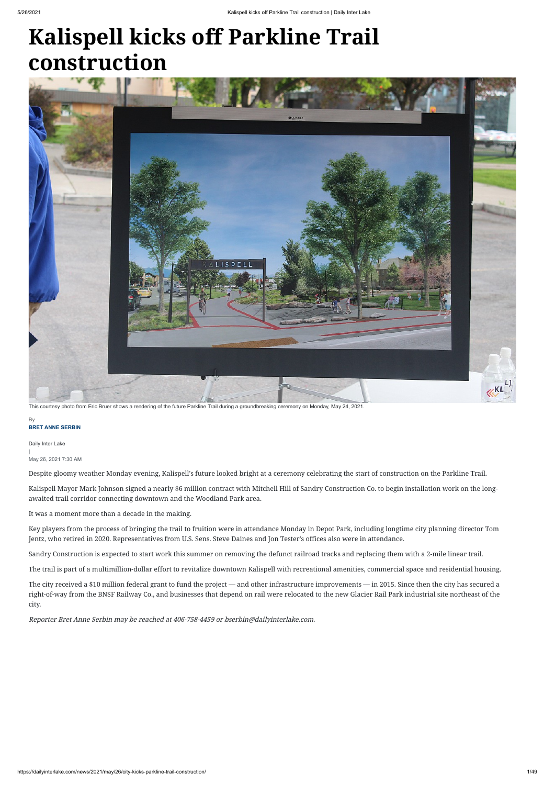## **Kalispell kicks off Parkline Trail construction**

Daily Inter Lake | May 26, 2021 7:30 AM

Despite gloomy weather Monday evening, Kalispell's future looked bright at a ceremony celebrating the start of construction on the Parkline Trail.

Kalispell Mayor Mark Johnson signed a nearly \$6 million contract with Mitchell Hill of Sandry Construction Co. to begin installation work on the longawaited trail corridor connecting downtown and the Woodland Park area.

It was a moment more than a decade in the making.

Key players from the process of bringing the trail to fruition were in attendance Monday in Depot Park, including longtime city planning director Tom Jentz, who retired in 2020. Representatives from U.S. Sens. Steve Daines and Jon Tester's offices also were in attendance.

## **BRET ANNE SERBIN** By

Sandry Construction is expected to start work this summer on removing the defunct railroad tracks and replacing them with a 2-mile linear trail.

The trail is part of a multimillion-dollar effort to revitalize downtown Kalispell with recreational amenities, commercial space and residential housing.

The city received a \$10 million federal grant to fund the project — and other infrastructure improvements — in 2015. Since then the city has secured a right-of-way from the BNSF Railway Co., and businesses that depend on rail were relocated to the new Glacier Rail Park industrial site northeast of the city.

Reporter Bret Anne Serbin may be reached at 406-758-4459 or bserbin@dailyinterlake.com.



This courtesy photo from Eric Bruer shows a rendering of the future Parkline Trail during a groundbreaking ceremony on Monday, May 24, 2021.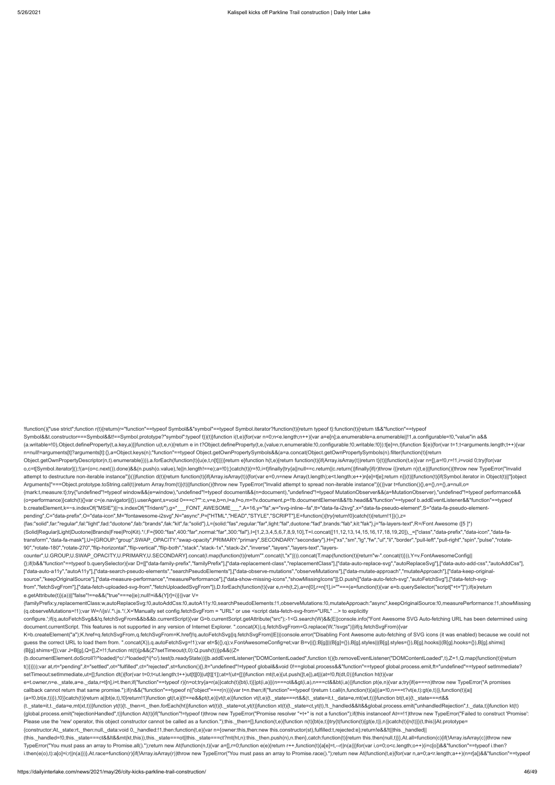!function(){"use strict";function r(t){return(r="function"==typeof Symbol&&"symbol"==typeof Symbol.iterator?function(t){return typeof t}:function(t){return t&&"function"==typeof Symbol&&t.constructor===Symbol&&t!==Symbol.prototype?"symbol":typeof t})(t)}function i(t,e){for(var n=0;n<e.length;n++){var a=e[n];a.enumerable=a.enumerable||!1,a.configurable=!0,"value"in a&& (a.writable=!0),Object.defineProperty(t,a.key,a)}}function u(t,e,n){return e in t?Object.defineProperty(t,e,{value:n,enumerable:!0,configurable:!0,writable:!0}):t[e]=n,t}function \$(e){for(var t=1;t<arguments.length;t++){var n=null!=arguments[t]?arguments[t]:{},a=Object.keys(n);"function"==typeof Object.getOwnPropertySymbols&&(a=a.concat(Object.getOwnPropertySymbols(n).filter(function(t){return Object.getOwnPropertyDescriptor(n,t).enumerable}))),a.forEach(function(t){u(e,t,n[t])})return e}function h(t,e){return function(t){if(Array.isArray(t))return t}(t)||function(t,e){var n=[],a=!0,r=!1,i=void 0;try{for(var o,c=t[Symbol.iterator]();!(a=(o=c.next()).done)&&(n.push(o.value),!e||n.length!==e);a=!0);}catch(t){r=!0,i=t}finally{try{a||null==c.return||c.return()}finally{fr(r)throw i}}return n}(t,e)||function(){throw new TypeError("I attempt to destructure non-iterable instance")}()}function d(t){return function(t){if(Array.isArray(t)){for(var e=0,n=new Array(t.length);e<t.length;e++)n[e]=t[e];return n}}(t)||function(t){if(Symbol.iterator in Object(t)| Arguments]"===Object.prototype.toString.call(t))return Array.from(t)}(t)||function(){throw new TypeError("Invalid attempt to spread non-iterable instance")}()}var t=function(){},e={},n={},a=null,o= {mark:t,measure:t};try{"undefined"!=typeof window&&(e=window),"undefined"!=typeof document&&(n=document),"undefined"!=typeof MutationObserver&&(a=MutationObserver),"undefined"!=typeof performance&& (o=performance)}catch(t){}var c=(e.navigator||{}).userAgent,s=void 0===c?"":c,v=e,b=n,l=a,f=o,m=!!v.document,p=!!b.documentElement&&!!b.head&&"function"==typeof b.addEventListener&&"function"==typeof b.createElement,k=~s.indexOf("MSIE")||~s.indexOf("Trident/"),g="\_\_\_FONT\_AWESOME\_\_\_",A=16,y="fa",w="svg-inline--fa",tt="data-fa-i2svg",x="data-fa-pseudo-element",S="data-fa-pseudo-elementpending",C="data-prefix",O="data-icon",M="fontawesome-i2svg",N="async",P=["HTML","HEAD","STYLE","SCRIPT"],E=function(){try{return!0}catch(t){return!1}}(),z= {fas:"solid",far:"regular",fal:"light",fad:"duotone",fab:"brands",fak:"kit",fa:"solid"},L={solid:"fas",regular:"far",light:"fal",duotone:"fad",brands:"fab",kit:"fak"},j="fa-layers-text",R=/Font Awesome ([5 ]\*) (Solid|Regular|Light|Duotone|Brands|Free|Pro|Kit).\*/,F={900:"fas",400:"far",normal:"far",300:"fal"},I=[1,2,3,4,5,6,7,8,9,10],T=I.concat([11,12,13,14,15,16,17,18,19,20]),\_=["class","data-prefix","data-icon","data-fatransform","data-fa-mask"],U={GROUP:"group",SWAP\_OPACITY:"swap-opacity",PRIMARY:"primary",SECONDARY:"secondary"},H=["xs","sm","lg","fw","ul","li","border","pull-left","pull-right","spin","pulse","rotate-90","rotate-180","rotate-270","flip-horizontal","flip-vertical","flip-both","stack","stack-1x","stack-2x","inverse","layers","layers-text","layerscounter",U.GROUP,U.SWAP\_OPACITY,U.PRIMARY,U.SECONDARY].concat(I.map(function(t){return"".concat(t,"x")})).concat(T.map(function(t){return"w-".concat(t)})),Y=v.FontAwesomeConfig|| {};if(b&&"function"==typeof b.querySelector){var D=[["data-family-prefix","familyPrefix"],["data-replacement-class","replacementClass"],["data-auto-replace-svg","autoReplaceSvg"],["data-auto-add-css","autoAddCss"], ["data-auto-a11y","autoA11y"],["data-search-pseudo-elements","searchPseudoElements"],["data-observe-mutations","observeMutations"],["data-mutate-approach","mutateApproach"],["data-keep-originalsource","keepOriginalSource"],["data-measure-performance","measurePerformance"],["data-show-missing-icons","showMissingIcons"]];D.push(["data-auto-fetch-svg","autoFetchSvg"],["data-fetch-svg-

K=b.createElement("a");K.href=q.fetchSvgFrom,q.fetchSvgFrom=K.href}!q.autoFetchSvg||q.fetchSvgFrom||E||(console.error("Disabling Font Awesome auto-fetching of SVG icons (it was enabled) because we could not guess the correct URL to load them from. ".concat(X)),q.autoFetchSvg=!1);var et=\$({},q);v.FontAwesomeConfig=et;var B=v||{};B[g]||(B[g]={}),B[g].styles||(B[g].styles={}),B[g].hooks||(B[g].hooks={}),B[g].shims|| (B[g].shims=[]);var J=B[g],Q=[],Z=!1;function nt(t){p&&(Z?setTimeout(t,0):Q.push(t))}p&&((Z=

e=t.owner,n=e.\_state,a=e.\_data,r=t[n],i=t.then;if("function"==typeof r){n=ot;try{a=r(a)}catch(t){bt(i,t)}}pt(i,a)||(n===ot&&pt(i,a),n===ct&&bt(i,a))}function pt(e,n){var a;try{if(e===n)throw new TypeError("A promises callback cannot return that same promise.");if(n&&("function"==typeof n||"object"===r(n))){var t=n.then;if("function"==typeof t)return t.call(n,function(t){a||(a=!0,n===t?vt(e,t));gt(e,t))},function(t){a|| (a=!0,bt(e,t))}),!0}}catch(t){return a||bt(e,t),!0}return!1}function gt(t,e){t!==e&&pt(t,e)||vt(t,e)}function vt(t,e){t.\_state===rt&&(t.\_state=it,t.\_data=e,mt(wt,t))}function bt(t,e){t.\_state===rt&& (t.\_state=it,t.\_data=e,mt(xt,t))}function yt(t){t.\_then=t.\_then.forEach(ht)}function wt(t){t.\_state=ot,yt(t)}function xt(t){t.\_state=ct,yt(t)}function xt(t){t.\_state=ct,yt(t)}function xt(t){t.\_state=ct,yt(t)}function xt(t) {global.process.emit("rejectionHandled",t)}function At(t){if("function"!=typeof t)throw new TypeError("Promise resolver "+t+" is not a function");if(this instanceof At==!1)throw new TypeError("Failed to construct 'Promise': Please use the 'new' operator, this object constructor cannot be called as a function.");this.\_then=[],function(t,e){function n(t){bt(e,t)}try{t(function(t){gt(e,t)},n)}catch(t){n(t)}}(t,this)}At.prototype= {constructor:At,\_state:rt,\_then:null,\_data:void 0,\_handled:!1,then:function(t,e){var n={owner:this,then:new this.constructor(st),fulfilled:t,rejected:e};return!e&&!t||this.\_handled|| (this.\_handled=!0,this.\_state===ct&&lt&&mt(kt,this)),this.\_state===ot||this.\_state===ct?mt(ht,n):this.\_then.push(n),n.then},catch:function(t){return this.then(null,t)}},At.all=function(c){if(!Array.isArray(c))throw new TypeError("You must pass an array to Promise.all().");return new At(function(n,t){var a=[],r=0;function e(e){return r++,function(t){a[e]=t,--r||n(a)}}for(var i,o=0;o<c.length;o++)(i=c[o])&&"function"==typeof i.then? i.then(e(o),t):a[o]=i;r||n(a)})},At.race=function(r){if(!Array.isArray(r))throw new TypeError("You must pass an array to Promise.race().");return new At(function(t,e){for(var n,a=0;a<r.length;a++)(n=r[a])&&"function"==typeof

from","fetchSvgFrom"],["data-fetch-uploaded-svg-from","fetchUploadedSvgFrom"]),D.forEach(function(t){var e,n=h(t,2),a=n[0],r=n[1],i=""===(e=function(t){var e=b.querySelector("script["+t+"]");if(e)return

e.getAttribute(t)}(a))||"false"!==e&&("true"===e||e);null!=i&&(Y[r]=i)})}var V=

{familyPrefix:y,replacementClass:w,autoReplaceSvg:!0,autoAddCss:!0,autoA11y:!0,searchPseudoElements:!1,observeMutations:!0,mutateApproach:"async",keepOriginalSource:!0,measurePerformance:!1,showMissing (q.observeMutations=!1);var W=/\/js\/.\*\.js.\*/,X='Manually set config.fetchSvgFrom = "URL" or use <script data-fetch-svg-from="URL" ...> to explicitly

configure.';if(q.autoFetchSvg&&!q.fetchSvgFrom&&b&&b.currentScript){var G=b.currentScript.getAttribute("src");-1<G.search(W)&&(E||console.info("Font Awesome SVG Auto-fetching URL has been determined using document.currentScript. This features is not supported in any version of Internet Explorer. ".concat(X)),q.fetchSvgFrom=G.replace(W,"/svgs"))}if(q.fetchSvgFrom){var

(b.documentElement.doScroll?/^loaded|^c/:/^loaded|^i|^c/).test(b.readyState))||b.addEventListener("DOMContentLoaded",function t(){b.removeEventListener("DOMContentLoaded",t),Z=1,Q.map(function(t){return t()})}));var at,rt="pending",it="settled",ot="fulfilled",ct="rejected",st=function(){},lt="undefined"!=typeof global&&void 0!==global.process&&"function"==typeof global.process.emit,ft="undefined"==typeof setImmediate? setTimeout:setImmediate,ut=[];function dt(){for(var t=0;t<ut.length;t++)ut[t][0](ut[t][1]);at=!(ut=[])}function mt(t,e){ut.push([t,e]),at||(at=!0,ft(dt,0))}function ht(t){var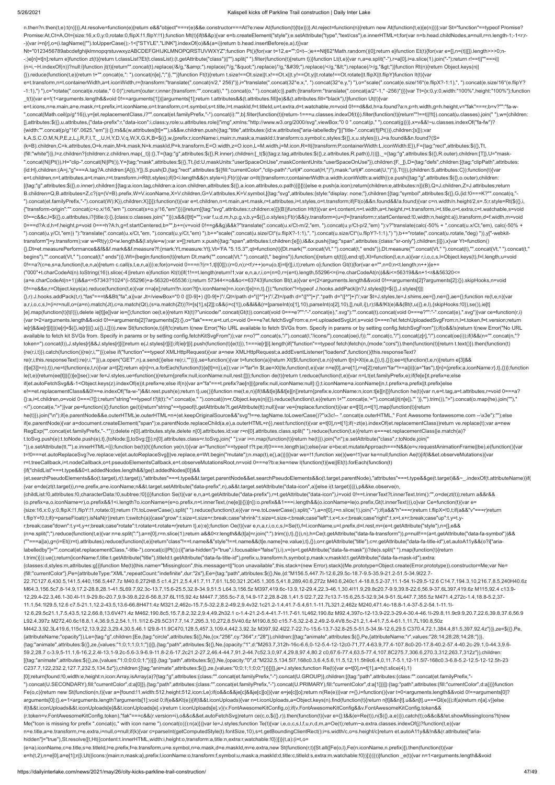n.then?n.then(t,e):t(n)})},At.resolve=function(e){return e&&"object"===r(e)&&e.constructor===At?e:new At(function(t){t(e)})},At.reject=function(n){return new At(function(t,e){e(n)})};var St="function"==typeof Promise? Promise:At,Ct=A,Ot={size:16,x:0,y:0,rotate:0,flipX:!1,flipY:!1};function Mt(t){if(t&&p){var e=b.createElement("style");e.setAttribute("type","text/css"),e.innerHTML=t;for(var n=b.head.childNodes,a=null,r=n.length-1;-1<r;r- -){var i=n[r],o=(i.tagName||"").toUpperCase();-1<["STYLE","LINK"].indexOf(o)&&(a=i)}return b.head.insertBefore(e,a),t}}var Nt="0123456789abcdefghijklmnopqrstuvwxyzABCDEFGHIJKLMNOPQRSTUVWXYZ";function Pt(){for(var t=12,e="";0<t--;)e+=Nt[62\*Math.random()|0];return e}function Et(t){for(var e=[],n=(t||[]).length>>>0;n--;)e[n]=t[n];return e}function zt(t){return t.classList?Et(t.classList):(t.getAttribute("class")||"").split(" ").filter(function(t){return t})}function Lt(t,e){var n,a=e.split("-"),r=a[0],i=a.slice(1).join("-");return r!== (n=i,~H.indexOf(n))?null:i}function jt(t){return"".concat(t).replace(/&/g,"&").replace(/"/g,""").replace(//g,"'").replace(/</g,"&lt;").replace(/>/g,"&dt;")}function Rt(n){return Object.keys(n|| {}).reduce(function(t,e){return t+"".concat(e,": ").concat(n[e],";")},"")}function Ft(t){return t.size!==Ot.size||t.x!==Ot.x||t.y!==Ot.y||t.rotate!==Ot.rotate||t.flipX||t.flipY}function It(t){var e=t.transform,n=t.containerWidth,a=t.iconWidth,r={transform:"translate(".concat(n/2," 256)")},i="translate(".concat(32\*e.x,", ").concat(32\*e.y,") "),o="scale(".concat(e.size/16\*(e.flipX?-1:1),", ").concat(e.size/16\*(e.flipY? -1:1),") "),c="rotate(".concat(e.rotate," 0 0)");return{outer:r,inner:{transform:"".concat(i," ").concat(o," ").concat(c)},path:{transform:"translate(".concat(a/2\*-1," -256)"}}}}var Tt={x:0,y:0,width:"100%",height:"100%"}; \_t(t){var e=!(1<arguments.length&&void 0!==arguments[1])||arguments[1];return t.attributes&&(t.attributes.fill||e)&&(t.attributes.fill="black"),t}function Ut(t){var e=t.icons,n=e.main,a=e.mask,r=t.prefix,i=t.iconName,o=t.transform,c=t.symbol,s=t.title,l=t.maskId,f=t.titleId,u=t.extra,d=t.watchable,m=void 0!==d&&d,h=a.found?a:n,p=h.width,g=h.height,v="fak"===r,b=v?"":"fa-w- ".concat(Math.ceil(p/g\*16)),y=[et.replacementClass,i?"".concat(et.familyPrefix,"-").concat(i):"",b].filter(function(t){return-1===u.classes.indexOf(t)}).filter(function(t){return"!==t|!!!!}).concat(u.classes).join(""),w={c [],attributes:\$({},u.attributes,{"data-prefix":r,"data-icon":i,class:y,role:u.attributes.role||"img",xmlns:"http://www.w3.org/2000/svg",viewBox:"0 0 ".concat(p," ").concat(g)})},x=v&&!~u.classes.indexOf("fa-fw")? {width:"".concat(p/g\*16\*.0625,"em")}:{};m&&(w.attributes[tt]=""),s&&w.children.push({tag:"title",attributes:{id:w.attributes["aria-labelledby"]||"title-".concat(f||Pt())},children:[s]});var k,A,S,C,O,M,N,P,E,z,L,j,R,F,I,T,\_,U,H,Y,D,V,q,W,X,G,K,B=\$({},w,{prefix:r,iconName:i,main:n,mask:a,maskId:l,transform:o,symbol:c,styles:\$({},x,u.styles)}),J=a.found&&n.found?(S= (k=B).children,C=k.attributes,O=k.main,M=k.mask,N=k.maskId,P=k.transform,E=O.width,z=O.icon,L=M.width,j=M.icon,R=It({transform:P,containerWidth:L,iconWidth:E}),F={tag:"rect",attributes:\$({},Tt, {fill:"white"})},l=z.children?{children:z.children.map(\_t)}:{},T={tag:"g",attributes:\$({},R.inner),children:[\_t(\$({tag:z.tag,attributes:\$({},R.attributes:\$({},R.attributes:\$({},attributes:\$({},R.attributes:\$({},R.outer),ch ".concat(N||Pt()),H="clip-".concat(N||Pt()),Y={tag:"mask",attributes:\$({},Tt,{id:U,maskUnits:"userSpaceOnUse",maskContentUnits:"userSpaceOnUse"}),children:[F,\_]},D={tag:"defs",children:[{tag:"clipPath",attributes: {id:H},children:(A=j,"g"===A.tag?A.children:[A])},Y]},S.push(D,{tag:"rect",attributes:\$({fill:"currentColor","clip-path":"url(#".concat(H,")"),mask:"url(#".concat(U,")")},Tt)}),{children:S,attributes:C}):function(t){var e=t.children,n=t.attributes,a=t.main,r=t.transform,i=Rt(t.styles);if(0<i.length&&(n.style=i),Ft(r)){var o=It({transform:r,containerWidth:a.width,iconWidth:a.width});e.push({tag:"g",attributes:\$({},o.outer),children: [{tag:"g",attributes:\$({},o.inner),children:[{tag:a.icon.tag,children:a.icon.children,attributes:\$({},a.icon.attributes,o.path)}]}]})}else e.push(a.icon);return{children:e,attributes:n}}(B),Q=J.children,Z=J.attributes;return B.children=Q,B.attributes=Z,c?(q=(V=B).prefix,W=V.iconName,X=V.children,G=V.attributes,K=V.symbol,[{tag:"svg",attributes:{style:"display: none;"},children:[{tag:"symbol",attributes:\$({},G,{id:!0===K?"".concat(q,"- ").concat(et.familyPrefix,"-").concat(W):K}),children:X}]}]):function(t){var e=t.children,n=t.main,a=t.mask,r=t.attributes,i=t.styles,o=t.transform;if(Ft(o)&&n.found&&!a.found){var c=n.width/n.height/2,s=.5;r.style=Rt(\${{} {"transform-origin":"".concat(c+o.x/16,"em ").concat(s+o.y/16,"em")}))}return[{tag:"svg",attributes:r,children:e}]}(B)}function Ht(t){var e=t.content,n=t.width,a=t.height,r=t.transform,i=t.title,o=t.extra,c=t.watchable,s=v 0!==c&&c,l=\$({},o.attributes,i?{title:i}:{},{class:o.classes.join(" ")});s&&(l[tt]="");var f,u,d,m,h,p,g,v,b,y=\$({},o.styles);Ft(r)&&(y.transform=(u=(f={transform:r,startCentered:!0,width:n,height:a}).transform,d=f.width,m 0===d?A:d,h=f.height,p=void 0===h?A:h,g=f.startCentered,b="",b+=(v=void 0!==g&&g)&&k?"translate(".concat(u.x/Ct-m/2,"em, ").concat(u.y/Ct-p/2,"em) "):v?"translate(calc(-50% + ".concat(u.x/Ct,"em), calc(-50% + ").concat(u.y/Ct,"em)) "):"translate(".concat(u.x/Ct,"em, ").concat(u.y/Ct,"em) "),b+="scale(".concat(u.size/Ct\*(u.flipX?-1:1),", ").concat(u.size/Ct\*(u.flipY?-1:1),") "),b+="rotate(".concat(u.rotate,"deg) ")),y["-webkittransform"]=y.transform);var w=Rt(y);0<w.length&&(l.style=w);var x=[];return x.push({tag:"span",attributes:l,children:[e]}),i&&x.push({tag:"span",attributes:{class:"sr-only"},children:[i]}),x}var Yt=function() {},Dt=et.measurePerformance&&f&&f.mark&&f.measure?f:{mark:Yt,measure:Yt},Vt='FA "5.15.3"',qt=function(t){Dt.mark("".concat(Vt," ").concat(t," ends")),Dt.measure("".concat(Vt," ").concat(t),"".concat(Vt," ").concat(t," begins"),"".concat(Vt," ").concat(t," ends"))},Wt={begin:function(t){return Dt.mark("".concat(Vt," ").concat(t," begins")),function(){return qt(t)}},end:qt},Xt=function(t,e,n,a){var r,i,o,c,s,l=Object.keys(t),f=l.length,u= 0!==a?(c=e,s=a,function(t,e,n,a){return c.call(s,t,e,n,a)}):e;for(o=void 0===n?(r=1,t[l[0]]):(r=0,n);r<f;r++)o=u(o,t[i=l[r]],i,t);return o};function Gt(t){for(var e="",n=0;n<t.length;n++){e+= ("000"+t.charCodeAt(n).toString(16)).slice(-4)}return e}function Kt(t){if(1!==t.length)return!1;var e,n,a,r,i,o=(n=0,r=(e=t).length,55296<=(i=e.charCodeAt(n))&&i<=56319&&n+1<r&&56320<= (a=e.charCodeAt(n+1))&&a<=57343?1024\*(i-55296)+a-56320+65536:i);return 57344<=o&&o<=63743}function Bt(t,a){var e=(2<arguments.length&&void 0!==arguments[2]?arguments[2]:{}).skipHooks,n=void 0!==e&&e,r=Object.keys(a).reduce(function(t,e){var n=a[e];return!!n.icon?t[n.iconName]=n.icon:t[e]=n,t},{});"function"!=typeof J.hooks.addPack||n?J.styles[t]=\$({},J.styles[t]||  $\{1, r\}$ ).hooks.addPack(t,r),"fas"===t&&Bt("fa",a)}var Jt=/viewBox="0 0 ([0-9]+)"(,Qt=/path d="([^"]+)"/,Zt=/path d="([^"]+)".\*path d="([^"]+)"/;var \$t=J.styles,te=J.shims,ee={},ne={},ae={};function re(t,e,n){var (f(e,n) a,r,i,o,c,s,l=(i=r=null,o=(a=n).match(Jt),c=a.match(Qt),(s=a.match(Zt))?i=[s[1],s[2]]:c&&(i=c[1]),o&&i&&(r=[parseInt(o[1],10),parseInt(o[2],10),[],null,i]),r);l&&!Kt(e)&&(Bt(t,u({},e,l),{skipHooks:!0}),se()),ie[t] [e].map(function(t){t(l)}),delete ie[t][e]}var ie={};function oe(t,e){return Kt(t)?"unicode/".concat(Gt(t)).concat(void 0===e?"":"-".concat(e),".svg"):"".concat(t).concat(toid 0===e?"":"-".concat(oid 0===e?"":"-".concat(e) {var t=2<arguments.length&&void 0!==arguments[2]?arguments[2]:{},o="fak"===r,e=t.url,c=void 0===e?et.fetchSvgFrom:e,n=t.uploadedSvgUrl,s=void 0===n?et.fetchUploadedSvgFrom:n,l=t.token,f=t.version;return ie[r]&&ie[r][i]]|(ie[r]=\$({},ie[r]||{},u({},i,[]))),new St(function(e,t){if(!c)return t(new Error("No URL available to fetch SVGs from. Specify in params or by setting config.fetchSvgFrom"));if(o&&!s)return t(new Error("No available to fetch kit SVGs from. Specify in params or by setting config.fetchKitSvgFrom"));var n=o?"".concat(s,"/").concat(l,"/icons/").concat(oe(i,f)):"".concat(oe(")"".concat(z[r],"/").concat(oe(i));if(l&&(n="".concat(n token=").concat(l)),J.styles[r]&&J.styles[r][i])return e(J.styles[r][i]);if(ie[r][i].push(function(t){e(t)}),1===ie[r][i].length)if("function"==typeof fetch)fetch(n,{mode:"cors"}).then(function(t){return t.text()}).then(fu {re(r,i,t)}).catch(function(){re(r,i,"")});else if("function"==typeof XMLHttpRequest){var a=new XMLHttpRequest;a.addEventListener("loadend",function(){this.responseText? re(r,i,this.responseText):re(r,i,"")}),a.open("GET",n),a.send()}else re(r,i,"")})},se=function(){var t=function(a){return Xt(\$t,function(t,e,n){return t[n]=Xt(e,a,{}),t},{})};ee=t(function(t,e,n){return e[3]&& (t[e[3]]=n),t}),ne=t(function(e,t,n){var a=t[2];return e[n]=n,a.forEach(function(t){e[t]=n}),e});var i="far"in \$t;ae=Xt(te,function(t,e){var n=e[0],a=e[1],r=e[2];return"far"!==a||i||(a="fas"),t[n]={prefix:a,iconName:r},t}, le(t,e){return(ee[t]||{})[e]}se();var fe=J.styles,ue=function(){return{prefix:null,iconName:null,rest:[]}};function de(t){return t.reduce(function(t,e){var n=Lt(et.familyPrefix,e);if(fe[e])t.prefix=e;else if(et.autoFetchSvg&&-1<Object.keys(z).indexOf(e))t.prefix=e;else if(n){var a="fa"===t.prefix?ae[n]||{prefix:null,iconName:null}:{};t.iconName=a.iconName||n,t.prefix=a.prefix||t.prefix}else e!==et.replacementClass&&0!==e.indexOf("fa-w-")&&t.rest.push(e);return t},ue())}function me(t,e,n){if(t&&t[e]&&t[e][n])return{prefix:e,iconName:n,icon:t[e][n]}}function he(t){var n,e=t.tag,a=t.attributes,r=void 0===a? {}:a,i=t.children,o=void 0===i?[]:i;return"string"==typeof t?jt(t):"<".concat(e," ").concat((n=r,Object.keys(n||{}).reduce(function(t,e){return t+"".concat(e,'=").concat(jt(n[e]),"")},"").trim()),">").concat(o.map(he).join </").concat(e,">")}var pe=function(){};function ge(t){return"string"==typeof(t.getAttribute?t.getAttribute(tt):null)}var ve={replace:function(t){var e=t[0],n=t[1].map(function(t){return he(t)}).join("\n");if(e.parentNode&&e.outerHTML)e.outerHTML=n+(et.keepOriginalSource&&"svg"!==e.tagName.toLowerCase()?"\x3c!-- ".concat(e.outerHTML," Font Awesome fontawesome.com --\x3e"):"");else if(e.parentNode){var a=document.createElement("span");e.parentNode.replaceChild(a,e),a.outerHTML=n}},nest:function(t){var e=t[0],n=t[1];if(~zt(e).indexOf(et.replacementClass))return ve.replace(t);var a=new RegExp("".concat(et.familyPrefix,"-.\*"));delete n[0].attributes.style,delete n[0].attributes.id;var r=n[0].attributes.class.split(" ").reduce(function(t,e){return e===et.replacementClass||e.match(a)? t.toSvg.push(e):t.toNode.push(e),t},{toNode:[],toSvg:[]});n[0].attributes.class=r.toSvg.join(" ");var i=n.map(function(t){return he(t)}).join("\n");e.setAttribute("class",r.toNode.join(" ")),e.setAttribute(tt,""),e.innerHTML=i}};function be(t){t()}function ye(n,t){var a="function"==typeof t?t:pe;if(0===n.length)a();else{var e=be;et.mutateApproach===N&&(e=v.requestAnimationFrame||be),e(function(){var t=!0===et.autoReplaceSvg?ve.replace:ve[et.autoReplaceSvg]||ve.replace,e=Wt.begin("mutate");n.map(t),e(),a()})}}var we=!1;function xe(){we=!1}var ke=null;function Ae(t){if(l&&et.observeMutations){var r=t.treeCallback,i=t.nodeCallback,o=t.pseudoElementsCallback,e=t.observeMutationsRoot,n=void 0===e?b:e;ke=new l(function(t){we||Et(t).forEach(function(t) {if("childList"===t.type&&0<t.addedNodes.length&&!ge(t.addedNodes[0])&& (et.searchPseudoElements&&o(t.target),r(t.target)),"attributes"===t.type&&t.target.parentNode&&et.searchPseudoElements&&o(t.target.parentNode),"attributes"===t.type&&ge(t.target)&&~\_.indexOf(t.attributeName))if( {var e=de(zt(t.target)),n=e.prefix,a=e.iconName;n&&t.target.setAttribute("data-prefix",n),a&&t.target.setAttribute("data-icon",a)}else i(t.target)})}),p&&ke.observe(n, {childList:!0,attributes:!0,characterData:!0,subtree:!0})}}function Se(t){var e,n,a=t.getAttribute("data-prefix"),r=t.getAttribute("data-icon"),i=void 0!==t.innerText?t.innerText.trim():"",o=de(zt(t));return a&&r&& (o.prefix=a,o.iconName=r),o.prefix&&1<i.length?o.iconName=(e=o.prefix,n=t.innerText,(ne[e]||{})[n]):o.prefix&&1===i.length&&(o.iconName=le(o.prefix,Gt(t.innerText))),o}var Ce=function(t){var e=

22.7C127.6,430.5,141.5,440,156.5,447.7z M40.6,272H8.5 c1.4,21.2,5.4,41.7,11.7,61.1L50,321.2C45.1,305.5,41.8,289,40.6,272z M40.6,240c1.4-18.8,5.2-37,11.1-54.1l-29.5-12.6 C14.7,194.3,10,216.7,8.5,240H40.6z M64.3,156.5c7.8-14.9,17.2-28.8,28.1-41.5L69.7,92.3c-13.7,15.6-25.5,32.8-34.9,51.5 L64.3,156.5z M397,419.6c-13.9,12-29.4,22.3-46.1,30.4l11.9,29.8c20.7-9.9,39.8-22.6,56.9-37.6L397,419.6z M115,92.4 c13.9-

{size:16,x:0,y:0,flipX:!1,flipY:!1,rotate:0};return t?t.toLowerCase().split(" ").reduce(function(t,e){var n=e.toLowerCase().split("-"),a=n[0],r=n.slice(1).join("-");if(a&&"h"===r)return t.flipX=!0,t;if(a&&"v"===r)return t.flipY=!0,t;if(r=parseFloat(r),isNaN(r))return t;switch(a){case"grow":t.size=t.size+r;break;case"shrink":t.size=t.size-r;break;case"left":t.x=t.x-r;break;case"right":t.x=t.x+r;break;case"up":t.y=t.y-

r;break;case"down":t.y=t.y+r;break;case"rotate":t.rotate=t.rotate+r}return t},e):e};function Oe(t){var e,n,a,r,i,o,c,s,l=Se(t),f=l.iconName,u=l.prefix,d=l.rest,m=(e=t.getAttribute("style"),n=[],e&& (n=e.split(";").reduce(function(t,e){var n=e.split(":"),a=n[0],r=n.slice(1);return a&&0<r.length&&(t[a]=r.join(":").trim()),t},{})),n),h=Ce(t.getAttribute("data-fa-transform")),p=null!==(a=t.getAttribute("data-fa-symbol"))&& (""===a||a),g=(i=Et((r=t).attributes).reduce(function(t,e){return"class"!==t.name&&"style"!==t.name&&(t[e.name]=e.value),t},{}),o=r.getAttribute("title"),c=r.getAttribute("data-fa-title-id"),et.autoA11y&&(o?i["arialabelledby"]="".concat(et.replacementClass,"-title-").concat(c||Pt()):(i["aria-hidden"]="true",i.focusable="false")),i),v=(s=t.getAttribute("data-fa-mask"))?de(s.split(" ").map(function(t){return

t.trim()})):ue();return{iconName:f,title:t.getAttribute("title"),titleId:t.getAttribute("data-fa-title-id"),prefix:u,transform:h,symbol:p,mask:v,maskId:t.getAttribute("data-fa-mask-id"),extra: {classes:d,styles:m,attributes:g}}}function Me(t){this.name="MissingIcon",this.message=t||"Icon unavailable",this.stack=(new Error).stack}(Me.prototype=Object.create(Error.prototype)).constructor=Me;var Ne=

{fill:"currentColor"},Pe={attributeType:"XML",repeatCount:"indefinite",dur:"2s"},Ee={tag:"path",attributes:\$({},Ne,{d:"M156.5,447.7l-12.6,29.5c-18.7-9.5-35.9-21.2-51.5-34.9l22.7-

12,29.4-22.3,46.1-30.4l-11.9-29.8c-20.7,9.9-39.8,22.6-56.8,37.6L115,92.4z M447.7,355.5c-7.8,14.9-17.2,28.8-28.1,41.5 l22.7,22.7c13.7-15.6,25.5-32.9,34.9-51.5L447.7,355.5z M471.4,272c-1.4,18.8-5.2,37- 11.1,54.1l29.5,12.6 c7.5-21.1,12.2-43.5,13.6-66.8H471.4z M321.2,462c-15.7,5-32.2,8.2-49.2,9.4v32.1c21.2-1.4,41.7-5.4,61.1-11.7L321.2,462z M240,471.4c-18.8-1.4-37-5.2-54.1-11.1l-12.6,29.5c21.1,7.5,43.5,12.2,66.8,13.6V471.4z M462,190.8c5,15.7,8.2,32.2,9.4,49.2h32.1 c-1.4-21.2-5.4-41.7-11.7-61.1L462,190.8z M92.4,397c-12-13.9-22.3-29.4-30.4-46.1l-29.8,11.9c9.9,20.7,22.6,39.8,37.6,56.9 L92.4,397z M272,40.6c18.8,1.4,36.9,5.2,54.1,11.1l12.6-29.5C317.7,14.7,295.3,10,272,8.5V40.6z M190.8,50 c15.7-5,32.2-8.2,49.2-9.4V8.5c-21.2,1.4-41.7,5.4-61.1,11.7L190.8,50z M442.3,92.3L419.6,115c12,13.9,22.3,29.4,30.5,46.1 l29.8-11.9C470,128.5,457.3,109.4,442.3,92.3z M397,92.4l22.7-22.7c-15.6-13.7-32.8-25.5-51.5-34.9l-12.6,29.5 C370.4,72.1,384.4,81.5,397,92.4z"})},ze=\$({},Pe, {attributeName:"opacity"}),Le={tag:"g",children:[Ee,{tag:"circle",attributes:\$({},Ne,{cx:"256",cy:"364",r:"28"}),children:[{tag:"animate",attributes:\$({},Pe,{attributeName:"r",values:"28;14;28;28;14;28;"})}, {tag:"animate",attributes:\$({},ze,{values:"1;0;1;1;0;1;"})}]},{tag:"path",attributes:\$({},Ne,{opacity:"1",d:"M263.7,312h-16c-6.6,0-12-5.4-12-12c0-71,77.4-63.9,77.4-107.8c0-20-17.8-40.2-57.4-40.2c-29.1,0-44.3,9.6- 59.2,28.7 c-3.9,5-11.1,6-16.2,2.4l-13.1-9.2c-5.6-3.9-6.9-11.8-2.6-17.2c21.2-27.2,46.4-44.7,91.2-44.7c52.3,0,97.4,29.8,97.4,80.2 c0,67.6-77.4,63.5-77.4,107.8C275.7,306.6,270.3,312,263.7,312z"}),children: [{tag:"animate",attributes:\$({},ze,{values:"1;0;0;0;0;1;"})}]},{tag:"path",attributes:\$({},Ne,{opacity:"0",d:"M232.5,134.5l7,168c0.3,6.4,5.6,11.5,12,11.5h9c6.4,0,11.7-5.1,12-11.5l7-168c0.3-6.8-5.2-12.5-12-12.5h-23 C237.7,122,232.2,127.7,232.5,134.5z"}),children:[{tag:"animate",attributes:\$({},ze,{values:"0;0;1;1;0;0;"})}]}]},je=J.styles;function Re(t){var e=t[0],n=t[1],a=h(t.slice(4),1) [0];return{found:!0,width:e,height:n,icon:Array.isArray(a)?{tag:"g",attributes:{class:"".concat(et.familyPrefix,"-").concat(U.GROUP)},children:[{tag:"path",attributes:{class:"".concat(et.familyPrefix,"- ").concat(U.SECONDARY),fill:"currentColor",d:a[0]}},{tag:"path",attributes:{class:"".concat(et.familyPrefix,"-").concat(U.PRIMARY),fill:"currentColor",d:a[1]}}]}:{tag:"path",attributes:{fill:"currentColor",d:a}}}}function Fe(o,c){return new St(function(n,t){var a={found:!1,width:512,height:512,icon:Le};if(o&&c&&je[c]&&je[c][o]){var e=je[c][o];return n(Re(e))}var r={},i=function(){var t=0<arguments.length&&void 0!==arguments[0]? arguments[0]:{},e=1<arguments.length?arguments[1]:void 0;if(e&&Kt(e)){if(t&&t.iconUploads){var n=t.iconUploads,a=Object.keys(n).find(function(t){return n[t]&&n[t].u&&n[t].u&&n[t].u===Gt(e)});if(a)return n[a].v}}else if(t&&t.iconUploads&&t.iconUploads[e]&&t.iconUploads[e].v)return t.iconUploads[e].v}(v.FontAwesomeKitConfig,o);if(v.FontAwesomeKitConfig&&v.FontAwesomeKitConfig.token&& (r.token=v.FontAwesomeKitConfig.token),"fak"===c&&(r.version=i),o&&c&&et.autoFetchSvg)return ce(c,o,\$({},r)).then(function(t){var e={};t&&(e=Re(t)),n(\$({},a,e))}).catch(t);o&&c&&!et.showMissingIcons?t(new Me("Icon is missing for prefix ".concat(c," with icon name ").concat(o))):n(a)})}var le=J.styles;function Te(t){var i,e,o,c,s,l,f,u,n,d,m,a=Oe(t);return~a.extra.classes.indexOf(j)?function(t,e){var n=e.title,a=e.transform,r=e.extra,i=null,o=null;if(k){var c=parseInt(getComputedStyle(t).fontSize,10),s=t.getBoundingClientRect();i=s.width/c,o=s.height/c}return et.autoA11y&&!n&&(r.attributes["ariahidden"]="true"),St.resolve([t,Ht({content:t.innerHTML,width:i,height:o,transform:a,title:n,extra:r,watchable:!0})])}(t,a):(i=t,o= (e=a).iconName,c=e.title,s=e.titleId,l=e.prefix,f=e.transform,u=e.symbol,n=e.mask,d=e.maskId,m=e.extra,new St(function(r,t){St.all([Fe(o,l),Fe(n.iconName,n.prefix)]).then(function(t){var e=h(t,2),n=e[0],a=e[1];r([i,Ut({icons:{main:n,mask:a},prefix:l,iconName:o,transform:f,symbol:u,mask:a,maskId:d,title:c,titleId:s,extra:m,watchable:!0})])})}))}function \_e(t){var n=1<arguments.length&&void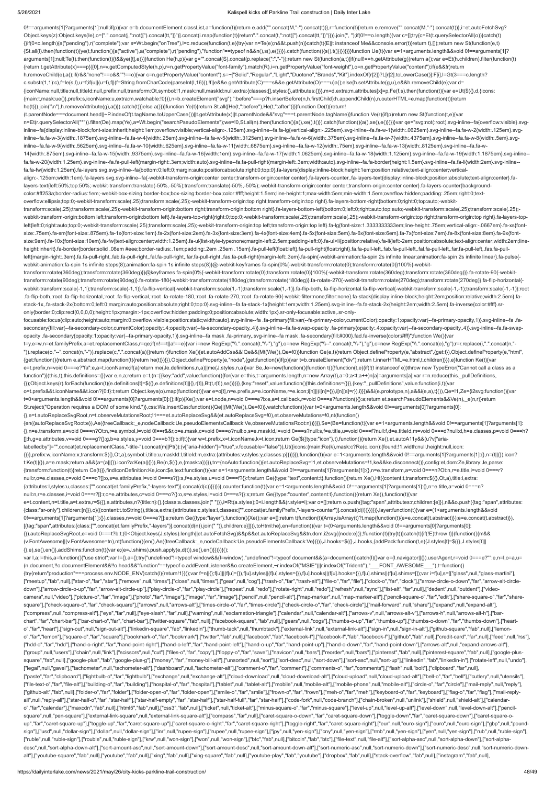## 5/26/2021 Kalispell kicks off Parkline Trail construction | Daily Inter Lake

0!==arguments[1]?arguments[1]:null;if(p){var e=b.documentElement.classList,a=function(t){return e.add("".concat(M,"-").concat(t)}},r=function(t){return e.remove("".concat(M,"-").concat(t)},i=et.autoFetchSvg? Object.keys(z):Object.keys(le),o=[".".concat(j,":not([").concat(tt,"])")].concat(i.map(function(t){return".".concat(t,":not([").concat(tt,"])")}).join(", ");if(0!==o.length){var c=[];try{c=Et(t.querySelectorAll(o))}catch(t {}if(0<c.length){a("pending"),r("complete");var s=Wt.begin("onTree"),l=c.reduce(function(t,e){try{var n=Te(e);n&&t.push(n)}catch(t){E||t instanceof Me&&console.error(t)}return t},[]);return new St(function(e,t) {St.all(l).then(function(t){ye(t,function(){a("active"),a("complete"),r("pending"),"function"==typeof n&&n(),s(),e()})}).catch(function(){s(),t()})})}}}}function Ue(t){var e=1<arguments.length&&void 0!==arguments[1]? arguments[1]:null;Te(t).then(function(t){t&&ye([t],e)})}function He(h,p){var g="".concat(S).concat(p.replace(":","-"));return new St(function(a,t){if(null!==h.getAttribute(g))return a();var e=Et(h.children).filter(function {return t.getAttribute(x)===p})[0],n=v.getComputedStyle(h,p),r=n.getPropertyValue("font-family").match(R),i=n.getPropertyValue("font-weight"),o=n.getPropertyValue("content");if(e&&!r)return h.removeChild(e),a();if(r&&"none"!==o&&""!==o){var c=n.getPropertyValue("content"),s=~["Solid","Regular","Light","Duotone","Brands","Kit"].indexOf(r[2])?L[r[2].toLowerCase()]:F[i],l=Gt(3===c.length? c.substr(1,1):c),f=le(s,l),u=f;if(u||(u=l),f||(f=String.fromCharCode(parseInt(l,16))),!f||e&&e.getAttribute(C)===s&&e.getAttribute(O)===u)a();else{h.setAttribute(g,u),e&&h.removeChild(e);var d= {iconName:null,title:null,titleId:null,prefix:null,transform:Ot,symbol:!1,mask:null,maskId:null,extra:{classes:[],styles:{},attributes:{}}},m=d.extra;m.attributes[x]=p,Fe(f,s).then(function(t){var e=Ut(\$({},d,{icons: {main:t,mask:ue()},prefix:s,iconName:u,extra:m,watchable:!0})),n=b.createElement("svg");":before"===p?h.insertBefore(n,h.firstChild):h.appendChild(n),n.outerHTML=e.map(function(t){return he(t)}).join("\n"),h.removeAttribute(g),a()}).catch(t)}}else a()})}function Ye(t){return St.all([He(t,":before"),He(t,":after")])}function De(t){return! (t.parentNode===document.head||~P.indexOf(t.tagName.toUpperCase())||t.getAttribute(x)||t.parentNode&&"svg"===t.parentNode.tagName)}function Ve(r){if(p)return new St(function(t,e){var n=Et(r.querySelectorAll("\*")).filter(De).map(Ye),a=Wt.begin("searchPseudoElements");we=!0,St.all(n).then(function(){a(),xe(),t()}).catch(function(){a(),xe(),e()}}}}}var qe="svg:not(:root).svg-inline--fa{overflow:visible}.s inline--fa{display:inline-block;font-size:inherit;height:1em;overflow:visible;vertical-align:-.125em}.svg-inline--fa.fa-lg{vertical-align:-.225em}.svg-inline--fa.fa-w-1{width:.0625em}.svg-inline--fa.fa-w-2{width:.125em}.sv inline--fa.fa-w-3{width:.1875em}.svg-inline--fa.fa-w-4{width:.25em}.svg-inline--fa.fa-w-5{width:.3125em}.svg-inline--fa.fa-w-6{width:.375em}.svg-inline--fa.fa-w-7{width:.4375em}.svg-inline--fa.fa-w-8{width:.5em}.svg-inline inline--fa.fa-w-9{width:.5625em}.svg-inline--fa.fa-w-10{width:.625em}.svg-inline--fa.fa-w-11{width:.6875em}.svg-inline--fa.fa-w-12{width:.75em}.svg-inline--fa.fa-w-12{width:.75em}.svg-inline--fa.fa-w-13{width:.8125em}.svg-14{width:.875em}.svg-inline--fa.fa-w-15{width:.9375em}.svg-inline--fa.fa-w-16{width:1em}.svg-inline--fa.fa-w-17{width:1.0625em}.svg-inline--fa.fa-w-18{width:1.125em}.svg-inline--fa.fa-w-19{width:1.1875em}.svg-inline- fa.fa-w-20{width:1.25em}.svg-inline--fa.fa-pull-left{margin-right:.3em;width:auto}.svg-inline--fa.fa-pull-right{margin-left:.3em;width:auto}.svg-inline-fa.fa-border{height:1.5em}.svg-inline--fa.fa-li{width:2em}.svg-inlinefa.fa-fw{width:1.25em}.fa-layers svg.svg-inline--fa{bottom:0;left:0;margin:auto;position:absolute;right:0;top:0}.fa-layers{display:inline-block;height:1em;position:relative;text-align:center;verticalalign:-.125em;width:1em}.fa-layers svg.svg-inline--fa{-webkit-transform-origin:center center;transform-origin:center center}.fa-layers-counter,.fa-layers-text{display:inline-block;position:absolute;text-align:center}.falayers-text{left:50%;top:50%;-webkit-transform:translate(-50%,-50%);transform:translate(-50%,-50%);-webkit-transform-origin:center center;transform-origin:center center}.fa-layers-counter{backgroundcolor:#ff253a;border-radius:1em;-webkit-box-sizing:border-box;box-sizing:border-box;color:#fff;height:1.5em;line-height:1;max-width:5em;min-width:1.5em;overflow:hidden;padding:.25em;right:0;textoverflow:ellipsis;top:0;-webkit-transform:scale(.25);transform:scale(.25);-webkit-transform-origin:top right;transform-origin:top right}.fa-layers-bottom-right{bottom:0;right:0;top:auto;-webkittransform:scale(.25);transform:scale(.25);-webkit-transform-origin:bottom right;transform-origin:bottom right}.fa-layers-bottom-left{bottom:0;left:0;right:auto;top:auto;-webkit-transform:scale(.25);transform:scale(.25); webkit-transform-origin:bottom left;transform-origin:bottom left}.fa-layers-top-right{right:0;top:0;-webkit-transform:scale(.25);transform:scale(.25);-webkit-transform-origin:top right;transform-origin:top right}.fa-layers left{left:0;right:auto;top:0;-webkit-transform:scale(.25);transform:scale(.25);-webkit-transform-origin:top left;transform-origin:top left}.fa-lg{font-size:1.33333333333339m;line-height:.75em;vertical-align:-.0667em}.fa-xs size:.75em}.fa-sm{font-size:.875em}.fa-1x{font-size:1em}.fa-2x{font-size:2em}.fa-3x{font-size:3em}.fa-4x{font-size:4em}.fa-5x{font-size:5em}.fa-6x{font-size:6em}.fa-6x{font-size:6em}.fa-6x{font-size:6em}.fa-6x{font-size:6e size:9em}.fa-10x{font-size:10em}.fa-fw{text-align:center;width:1.25em}.fa-ul{list-style-type:none;margin-left:2.5em;padding-left:0}.fa-ul>li{position:relative}.fa-li{left:-2em;position:absolute;text-align:center;width:2em; height:inherit}.fa-border{border:solid .08em #eee;border-radius:.1em;padding:.2em .25em .15em}.fa-pull-left{float:left}.fa-pull-right{float:right}.fa.fa-pull-left,.fab.fa-pull-left,.fab.fa-pull-left,.fal.fa-pull-left,.far. left{margin-right:.3em}.fa.fa-pull-right,.fab.fa-pull-right,.fal.fa-pull-right,.fal.fa-pull-right,.far.fa-pull-right,.far.fa-pull-right,.fas.fa-pull-right,fas.fa-pull-right,fas.fa-pull-right(nargin-left:.3em}.fa-spin{-webk webkit-animation:fa-spin 1s infinite steps(8);animation:fa-spin 1s infinite steps(8)}@-webkit-keyframes fa-spin{0%{-webkit-transform:rotate(0);transform:rotate(0)}100%{-webkittransform:rotate(360deg);transform:rotate(360deg)}}@keyframes fa-spin{0%{-webkit-transform:rotate(0);transform:rotate(0)}100%{-webkit-transform:rotate(360deg);transform:rotate(360deg)}}.fa-rotate-90{-webkittransform:rotate(90deg);transform:rotate(90deg)}.fa-rotate-180{-webkit-transform:rotate(180deg);transform:rotate(180deg)}.fa-rotate-270{-webkit-transform:rotate(270deg);transform:rotate(270deg)}.fa-flip-horizontal{ webkit-transform:scale(-1,1);transform:scale(-1,1)}.fa-flip-vertical{-webkit-transform:scale(1,-1);transform:scale(1,-1)}.fa-flip-both,.fa-flip-both,da-flip-horizontal.fa-flip-vertical{-webkit-transform:scale(-1,-1)}:root .fa-flip-both,:root .fa-flip-horizontal,:root .fa-flip-vertical,:root .fa-rotate-180,:root .fa-rotate-270,:root .fa-rotate-90{-webkit-filter:none;filter:none}.fa-stack{display:inline-block;height:2em;position:relative;widt stack-1x,.fa-stack-2x{bottom:0;left:0;margin:auto;position:absolute;right:0;top:0}.svg-inline--fa.fa-stack-1x{height:1em;width:1.25em}.svg-inline--fa.fa-stack-2x{height:2em;width:2.5em}.fa-inverse{color:#fff}.sronly{border:0;clip:rect(0,0,0,0);height:1px;margin:-1px;overflow:hidden;padding:0;position:absolute;width:1px}.sr-only-focusable:active,.sr-onlyfocusable:focus{clip:auto;height:auto;margin:0;overflow:visible;position:static;width:auto}.svg-inline--fa .fa-primary{fill:var(--fa-primary-color,currentColor);opacity:1;opacity:1-a-primary-opacity,1)}.svg-inline--fa .fasecondary{fill:var(--fa-secondary-color,currentColor);opacity:.4;opacity:var(--fa-secondary-opacity,.4)}.svg-inline--fa.fa-swap-opacity .fa-primary{opacity:.4;opacity:.4;opacity-rar-secondary-opacity,.4)}.svg-inline--fa.fa opacity .fa-secondary{opacity:1;opacity:var(--fa-primary-opacity,1)}.svg-inline--fa mask .fa-primary,.svg-inline--fa mask .fa-secondary{fill:#000}.fad.fa-inverse{color:#fff}";function We(){var t=y,e=w,n=et.familyPrefix,a=et.replacementClass,r=qe;if(n!==t||a!==e){var i=new RegExp("\\.".concat(t,"\\-"),"g"),o=new RegExp("\\--".concat(t,"\\-"),"g"),c=new RegExp("\\.".concat(e),"g");r=r.replace(i,".".concat(n,"- ")).replace(o,"--".concat(n,"-")).replace(c,".".concat(a))}return r}function Xe(){et.autoAddCss&&!Qe&&(Mt(We()),Qe=!0)}function Ge(e,t){return Object.defineProperty(e,"abstract",{get:t}),Object.defineProperty(e,"html", {get:function(){return e.abstract.map(function(t){return he(t)})}}),Object.defineProperty(e,"node",{get:function(){if(p){var t=b.createElement("div");return t.innerHTML=e.html,t.children}}}),e}function Ke(t){var e=t.prefix,n=void 0===e?"fa":e,a=t.iconName;if(a)return me(Je.definitions,n,a)||me(J.styles,n,a)}var Be,Je=new(function(){function t(){!function(t,e){if(!(t instanceof e))throw new TypeError("Cannot call a class as a function")}(this,t),this.definitions={}}var e,n,a;return e=t,(n=[{key:"add",value:function(){for(var e=this,t=arguments.length,n=new Array(t),a=0;a<t;a++)n[a]=arguments[a];var r=n.reduce(this.\_pullDefinitions, {});Object.keys(r).forEach(function(t){e.definitions[t]=\$({},e.definitions[t]||{},r[t]),Bt(t,r[t]),se()})}},{key:"reset",value:function(){this.definitions={}}},{key:"\_pullDefinitions",value:function(i,t){var o=t.prefix&&t.iconName&&t.icon?{0:t}:t;return Object.keys(o).map(function(t){var e=o[t],n=e.prefix,a=e.iconName,r=e.icon;i[n]||(i[n]={}),i[n][a]=r}),i}}])&&i(e.prototype,n),a&&i(e,a),t}()),Qe=!1,Ze={i2svg:function(){var t=0<arguments.length&&void 0!==arguments[0]?arguments[0]:{};if(p){Xe();var e=t.node,n=void 0===e?b:e,a=t.callback,r=void 0===a?function(){}:a;return et.searchPseudoElements&&Ve(n),\_e(n,r)}return St.reject("Operation requires a DOM of some kind.")},css:We,insertCss:function(){Qe||(Mt(We()),Qe=!0)},watch:function(){var t=0<arguments.length&&void 0!==arguments[0]?arguments[0]: {},e=t.autoReplaceSvgRoot,n=t.observeMutationsRoot;!1===et.autoReplaceSvg&&(et.autoReplaceSvg=!0),et.observeMutations=!0,nt(function() {en({autoReplaceSvgRoot:e}),Ae({treeCallback:\_e,nodeCallback:Ue,pseudoElementsCallback:Ve,observeMutationsRoot:n})})}},\$e=(Be=function(t){var e=1<arguments.length&&void 0!==arguments[1]?arguments[1]: {},n=e.transform,a=void 0===n?Ot:n,r=e.symbol,i=void 0!==r&&r,o=e.mask,c=void 0===o?null:o,s=e.maskId,l=void 0===s?null:s,f=e.title,u=void 0===f?null:f,d=e.titleId,m=void 0===d?null:d,h=e.classes,p=void 0===h? []:h,g=e.attributes,v=void 0===g?{}:g,b=e.styles,y=void 0===b?{}:b;if(t){var w=t.prefix,x=t.iconName,k=t.icon;return Ge(\$({type:"icon"},t),function(){return Xe(),et.autoA11y&&(u?v["arialabelledby"]="".concat(et.replacementClass,"-title-").concat(m||Pt()):(v["aria-hidden"]="true",v.focusable="false")),Ut({icons:{main:Re(k),mask:c?Re(c.icon):{found:!1,width:null,height:null,icon: {}}},prefix:w,iconName:x,transform:\$({},Ot,a),symbol:i,title:u,maskId:l,titleId:m,extra:{attributes:v,styles:y,classes:p}})})}},function(t){var e=1<arguments.length&&void 0!==arguments[1]?arguments[1]:{},n=(t||{}).icon? t:Ke(t||{}),a=e.mask;return a&&(a=(a||{}).icon?a:Ke(a||{})),Be(n,\$({},e,{mask:a}))}),tn={noAuto:function(){et.autoReplaceSvg=!1,et.observeMutations=!1,ke&&ke.disconnect()},config:et,dom:Ze,library:Je,parse: {transform:function(t){return Ce(t)}},findIconDefinition:Ke,icon:\$e,text:function(t){var e=1<arguments.length&&void 0!==arguments[1]?arguments[1]:{},n=e.transform,a=void 0===n?Ot:n,r=e.title,i=void 0===r? null:r,o=e.classes,c=void 0===o?[]:o,s=e.attributes,l=void 0===s?{}:s,f=e.styles,u=void 0===f?{}:f;return Ge({type:"text",content:t},function(){return Xe(),Ht({content:t,transform:\$({},Ot,a),title:i,extra: {attributes:l,styles:u,classes:["".concat(et.familyPrefix,"-layers-text")].concat(d(c))}})})},counter:function(t){var e=1<arguments.length&&void 0!==arguments[1]?arguments[1]:{},n=e.title,a=void 0===n? null:n,r=e.classes,i=void 0===r?[]:r,o=e.attributes,c=void 0===o?{}:o,s=e.styles,l=void 0===s?{}:s;return Ge({type:"counter",content:t},function(){return Xe(),function(t){var e=t.content,n=t.title,a=t.extra,r=\$({},a.attributes,n?{title:n}:{},{class:a.classes.join(" "})},i=Rt(a.styles);0<i.length&&(r.style=i);var o=[];return o.push({tag:"span",attributes:r,children:[e]}),n&&o.push({tag:"span",at {class:"sr-only"},children:[n]}),o}({content:t.toString(),title:a,extra:{attributes:c,styles:l,classes:["".concat(et.familyPrefix,"-layers-counter")].concat(d(i))}})})},layer:function(t){var e=(1<arguments.length&&void 0!==arguments[1]?arguments[1]:{}).classes,n=void 0===e?[]:e;return Ge({type:"layer"},function(){Xe();var e=[];return t(function(t){Array.isArray(t)?t.map(function(t){e=e.concat(t.abstract)}):e=e.concat(t.abstract)}), [{tag:"span",attributes:{class:["".concat(et.familyPrefix,"-layers")].concat(d(n)).join(" ")},children:e}]})},toHtml:he},en=function(){var t=(0<arguments.length&&void 0!==arguments[0]?arguments[0]: {}).autoReplaceSvgRoot,e=void 0===t?b:t;(0<Object.keys(J.styles).length||et.autoFetchSvg)&&p&&et.autoReplaceSvg&&tn.dom.i2svg({node:e})};!function(t){try{t()}catch(t){if(!E)throw t}}(function(){m&& (v.FontAwesome||(v.FontAwesome=tn),nt(function(){en(),Ae({treeCallback:\_e,nodeCallback:Ue,pseudoElementsCallback:Ve})})),J.hooks=\$({},J.hooks,{addPack:function(t,e){J.styles[t]=\$({},J.styles[t]|| {},e),se(),en()},addShims:function(t){var e;(e=J.shims).push.apply(e,d(t)),se(),en()}})})}(); var l,a;l=this,a=function(){"use strict";var l={},a={};try{"undefined"!=typeof window&&(l=window),"undefined"!=typeof document&&(a=document)}catch(l){}var e=(l.navigator||{}).userAgent,r=void 0===e?"":e,n=l,o=a,u=

(n.document,!!o.documentElement&&!!o.head&&"function"==typeof o.addEventListener&&o.createElement,~r.indexOf("MSIE")||r.indexOf("Trident/"),"\_\_\_FONT\_AWESOME\_\_\_"),t=function() {try{return"production"===process.env.NODE\_ENV}catch(l){return!1}}();var f=n||{};f[u]||(f[u]={}),f[u].styles||(f[u].styles={}),f[u].hooks||(f[u].hooks={}),f[u].shims||(f[u].shims=[]);var i=f[u],s=[["glass",null,"glass-mart ["meetup","fab",null],["star-o","far","star"],["remove",null,"times"],["close",null,"times"],["gear",null,"toog"],["trash-o","far","tarh-alt"],["file-o","far","far","falr","far","clock-o","far","clock"],["arrow-circle-o-do down"],["arrow-circle-o-up","far","arrow-alt-circle-up"],["play-circle-o","far","play-circle"],["repeat",null,"redo"],["rotate-right",null,"redo"],["refresh",null,"sync"],["list-alt","far",null],["dedent",null,"outdent"],[

camera",null,"video"],["picture-o","far","image"],["photo","far","image"],["image","far","image"],["pencil",null,"pencil",null,"map-marker",null,"map-marker-alt"],["pencil-square-o","far","edit"],["share-square-o","far","s square"],["check-square-o","far","check-square"],["arrows",null,"arrows-alt"],["times-circle-o","far","times-circle"],["check-circle-o","far","check-circle-o","far","check-circle-o","far","check-circle-o","far","check-circ ["compress",null,"compress-alt"],["eye","far",null],["eye-slash","far",null],["warning",null,"exclamation-triangle"],["calendar",null,"calendar-alt"],["arrows-v",null,"arrows-alt-v"],["arrows-h",null,"arrows-alt-h"],["barchart","far","chart-bar"],["bar-chart-o","far","chart-bar"],["twitter-square","fab",null],["facebook-square","fab",null],["gears",null,"cogs"],["thumbs-o-up","far","thumbs-up"],["thumbs-o-down","far","thumbs-down"],["heart o","far","heart"],["sign-out",null,"sign-out-alt"],["linkedin-square","fab","linkedin"],["thumb-tack",null,"thumbtack"],["external-link",null,"external-link-alt"],["sign-in",null,"sign-in-alt"],["github-square","fab",null] o","far","lemon"],["square-o","far","square"],["bookmark-o","far","bookmark"],["twitter","fab",null],["facebook","fab","facebook-f"],["facebook-f","fab","fab","fab","fab","fab",mull],["credit-card","far",null],["feed",null ["hdd-o","far","hdd"],["hand-o-right","far","hand-point-right"],["hand-o-left","far","hand-point-left"],["hand-o-up","far","hand-point-up"],["hand-o-down","far","hand-point-down"],["arrows-alt",null,"expand-arrows-alt"], ["group",null,"users"],["chain",null,"link"],["scissors",null,"cut"],["files-o","far","copy"],["floppy-o","far","save"],["navicon",null,"bars"],["reorder",null,"bars"],["pinterest","fab",null],["pinterest-square","fab",nul square","fab",null],["google-plus","fab","google-plus-g"],["money","far","money-bill-alt"],["unsorted",null,"sort-desc",null,"sort-down"],["sort-asc",null,"sort-up"],["inkedin","fab","linkedin-in"],["rotate-left",null,"und ["legal",null,"gavel"],["tachometer",null,"tachometer-alt"],["dashboard",null,"tachometer-alt"],["comment-o","far","comment"],["comments-o","far","comments"],["flash",null,"bolt"],["clipboard","far",null], ["paste","far","clipboard"],["lightbulb-o","far","lightbulb"],["exchange",null,"exchange-alt"],["cloud-download",null,"cloud-download-alt"],["cloud-upload",null,"cloud-upload-alt"],["bell-o","far","bell"],["cutlery",null," ["file-text-o","far","file-alt"],["building-o","far","building"],["hospital-o","far","hospital"],["tablet",null,"tablet-alt"],["mobile-alt"],["mobile-phone",null,"mobile-alt"],["mobile-alt"],["circle-o","far","circle"],["m ["github-alt","fab",null],["folder-o","far","folder"],["folder-open-o","far","folder-open"],["smile-o","far","smile"],["frown-o","far","frown"],["meh-o","far","meh"],["keyboard-o","far","keyboard"],["flag-o","far","flag"], all",null,"reply-all"],["star-half-o","far","star-half"],["star-half-empty","far","star-half"],["star-half-full","far","star-half-full","far","star-half"],["code-fork",null,"code-branch"],["chain-broken",null,"unlink"],["s o","far","calendar"],["maxcdn","fab",null],["html5","fab",null],["css3","fab",null],["css3","fab",null],["cket",null],"["cket",null],"ticket-alt"],["minus-square-o","far","minus-square"],["level-up",null,"level-up-alt"],[" square",null,"pen-square"],["external-link-square",null,"external-link-square-alt"],["compass","far",null],["caret-square-o-down","far","caret-square-down"],["toggle-down","far","caret-square-down"],["caret-square-oup","far","caret-square-up"],["toggle-up","far","caret-square-up"],["caret-square-o-right","far","caret-square-right"],["toggle-right","far","caret-square-right"],["eur",null,"euro-sign"],["euro",null,"euro-sign"],["gbp",n sign"],["usd",null,"dollar-sign"],["dollar",null,"dollar-sign"],["inr",null,"rupee-sign"],["inpee-sign"],["inpee-sign"],["inpee-sign"],["ppy",null,"yen-sign"],["cny",null,"yen-sign"],["rmb",null,"yen-sign"],["ryen",null,"y ["ruble",null,"ruble-sign"],["rouble",null,"ruble-sign"],["krw",null,"won-sign"],["won",null,"won-sign"],["bitc","fab",null],["bitcoin","fab","bitc"],["ile-text",null,"file-alt"],["sort-alpha-asc",null,"sort-alpha-down"],[ desc",null,"sort-alpha-down-alt"],["sort-amount-asc",null,"sort-amount-down"],["sort-amount-desc",null,"sort-amount-down-alt"],["sort-numeric-asc",null,"sort-numeric-down"],["sort-numeric-desc",null,"sort-numeric-downalt"],["youtube-square","fab",null],["youtube","fab",null],["xing","fab",null],["xing-square","fab",null],["youtube-play","fab","youtube"],["dropbox","fab",null],["stack-overflow","fab",null],["instagram","fab",null],